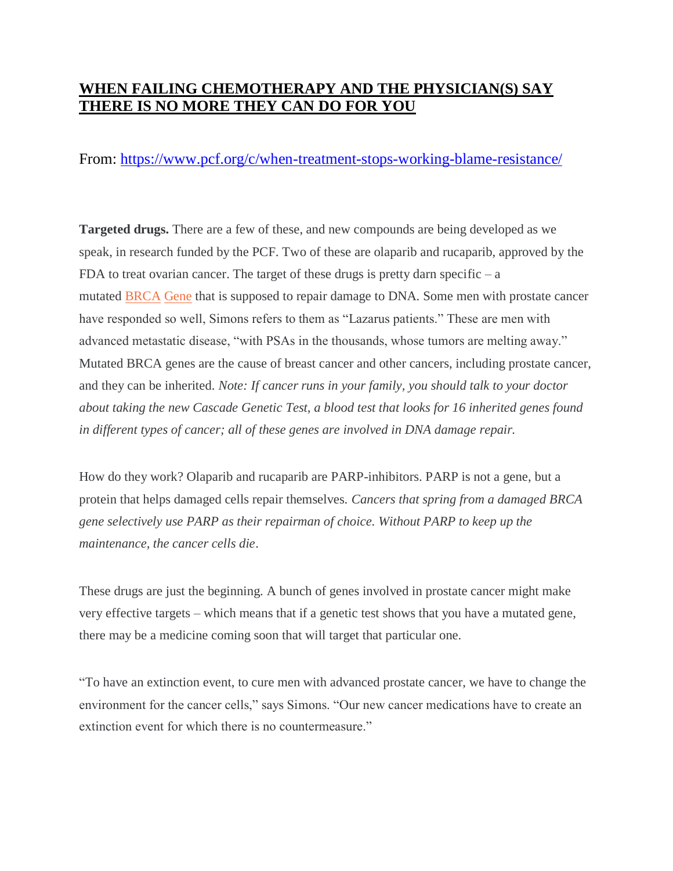# **WHEN FAILING CHEMOTHERAPY AND THE PHYSICIAN(S) SAY THERE IS NO MORE THEY CAN DO FOR YOU**

## From:<https://www.pcf.org/c/when-treatment-stops-working-blame-resistance/>

**Targeted drugs.** There are a few of these, and new compounds are being developed as we speak, in research funded by the PCF. Two of these are olaparib and rucaparib, approved by the FDA to treat ovarian cancer. The target of these drugs is pretty darn specific  $- a$ mutated [BRCA](javascript:void(0)) [Gene](javascript:void(0)) that is supposed to repair damage to DNA. Some men with prostate cancer have responded so well, Simons refers to them as "Lazarus patients." These are men with advanced metastatic disease, "with PSAs in the thousands, whose tumors are melting away." Mutated BRCA genes are the cause of breast cancer and other cancers, including prostate cancer, and they can be inherited. *Note: If cancer runs in your family, you should talk to your doctor about taking the new Cascade Genetic Test, a blood test that looks for 16 inherited genes found in different types of cancer; all of these genes are involved in DNA damage repair.*

How do they work? Olaparib and rucaparib are PARP-inhibitors. PARP is not a gene, but a protein that helps damaged cells repair themselves. *Cancers that spring from a damaged BRCA gene selectively use PARP as their repairman of choice. Without PARP to keep up the maintenance, the cancer cells die*.

These drugs are just the beginning. A bunch of genes involved in prostate cancer might make very effective targets – which means that if a genetic test shows that you have a mutated gene, there may be a medicine coming soon that will target that particular one.

"To have an extinction event, to cure men with advanced prostate cancer, we have to change the environment for the cancer cells," says Simons. "Our new cancer medications have to create an extinction event for which there is no countermeasure."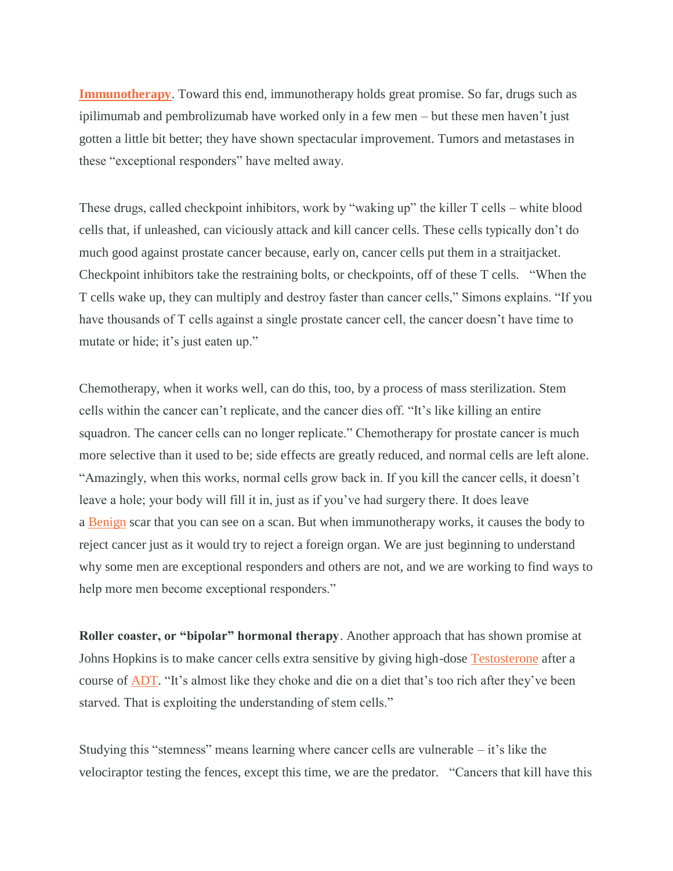**[Immunotherapy](javascript:void(0))**. Toward this end, immunotherapy holds great promise. So far, drugs such as ipilimumab and pembrolizumab have worked only in a few men – but these men haven't just gotten a little bit better; they have shown spectacular improvement. Tumors and metastases in these "exceptional responders" have melted away.

These drugs, called checkpoint inhibitors, work by "waking up" the killer T cells – white blood cells that, if unleashed, can viciously attack and kill cancer cells. These cells typically don't do much good against prostate cancer because, early on, cancer cells put them in a straitjacket. Checkpoint inhibitors take the restraining bolts, or checkpoints, off of these T cells. "When the T cells wake up, they can multiply and destroy faster than cancer cells," Simons explains. "If you have thousands of T cells against a single prostate cancer cell, the cancer doesn't have time to mutate or hide; it's just eaten up."

Chemotherapy, when it works well, can do this, too, by a process of mass sterilization. Stem cells within the cancer can't replicate, and the cancer dies off. "It's like killing an entire squadron. The cancer cells can no longer replicate." Chemotherapy for prostate cancer is much more selective than it used to be; side effects are greatly reduced, and normal cells are left alone. "Amazingly, when this works, normal cells grow back in. If you kill the cancer cells, it doesn't leave a hole; your body will fill it in, just as if you've had surgery there. It does leave a [Benign](javascript:void(0)) scar that you can see on a scan. But when immunotherapy works, it causes the body to reject cancer just as it would try to reject a foreign organ. We are just beginning to understand why some men are exceptional responders and others are not, and we are working to find ways to help more men become exceptional responders."

**Roller coaster, or "bipolar" hormonal therapy**. Another approach that has shown promise at Johns Hopkins is to make cancer cells extra sensitive by giving high-dose [Testosterone](javascript:void(0)) after a course of [ADT.](https://www.pcf.org/news/strategy-might-thwart-resistance-to-a-common-prostate-cancer-treatment/) "It's almost like they choke and die on a diet that's too rich after they've been starved. That is exploiting the understanding of stem cells."

Studying this "stemness" means learning where cancer cells are vulnerable – it's like the velociraptor testing the fences, except this time, we are the predator. "Cancers that kill have this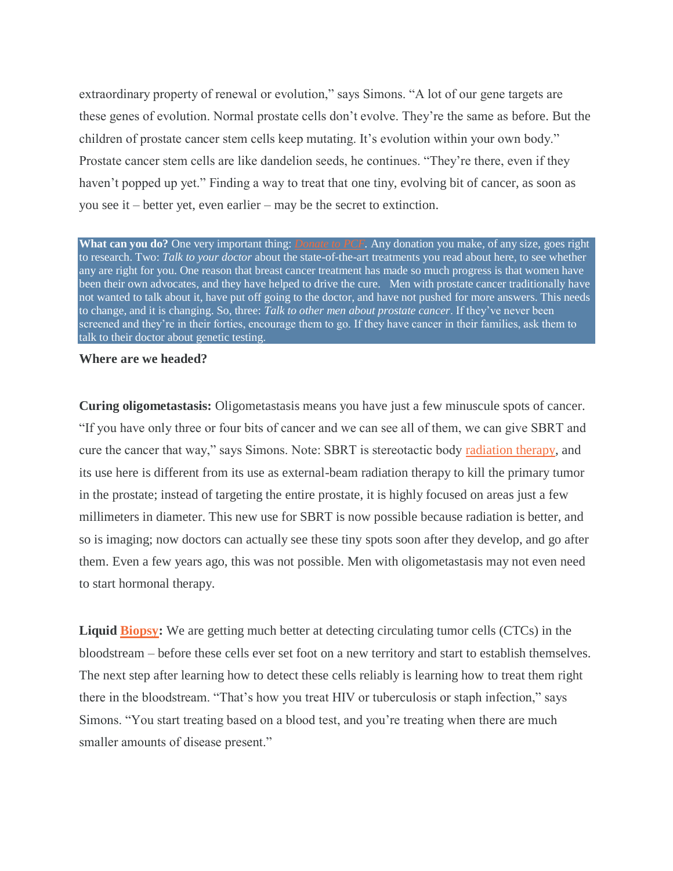extraordinary property of renewal or evolution," says Simons. "A lot of our gene targets are these genes of evolution. Normal prostate cells don't evolve. They're the same as before. But the children of prostate cancer stem cells keep mutating. It's evolution within your own body." Prostate cancer stem cells are like dandelion seeds, he continues. "They're there, even if they haven't popped up yet." Finding a way to treat that one tiny, evolving bit of cancer, as soon as you see it – better yet, even earlier – may be the secret to extinction.

**What can you do?** One very important thing: *[Donate to PCF.](https://www.pcf.org/donate/)* Any donation you make, of any size, goes right to research. Two: *Talk to your doctor* about the state-of-the-art treatments you read about here, to see whether any are right for you. One reason that breast cancer treatment has made so much progress is that women have been their own advocates, and they have helped to drive the cure. Men with prostate cancer traditionally have not wanted to talk about it, have put off going to the doctor, and have not pushed for more answers. This needs to change, and it is changing. So, three: *Talk to other men about prostate cancer*. If they've never been screened and they're in their forties, encourage them to go. If they have cancer in their families, ask them to talk to their doctor about genetic testing.

### **Where are we headed?**

**Curing oligometastasis:** Oligometastasis means you have just a few minuscule spots of cancer. "If you have only three or four bits of cancer and we can see all of them, we can give SBRT and cure the cancer that way," says Simons. Note: SBRT is stereotactic body [radiation therapy,](https://www.pcf.org/c/questions-to-ask-your-doctor-if-youre-considering-undergoing-radiation-therapy/) and its use here is different from its use as external-beam radiation therapy to kill the primary tumor in the prostate; instead of targeting the entire prostate, it is highly focused on areas just a few millimeters in diameter. This new use for SBRT is now possible because radiation is better, and so is imaging; now doctors can actually see these tiny spots soon after they develop, and go after them. Even a few years ago, this was not possible. Men with oligometastasis may not even need to start hormonal therapy.

**Liquid [Biopsy:](javascript:void(0))** We are getting much better at detecting circulating tumor cells (CTCs) in the bloodstream – before these cells ever set foot on a new territory and start to establish themselves. The next step after learning how to detect these cells reliably is learning how to treat them right there in the bloodstream. "That's how you treat HIV or tuberculosis or staph infection," says Simons. "You start treating based on a blood test, and you're treating when there are much smaller amounts of disease present."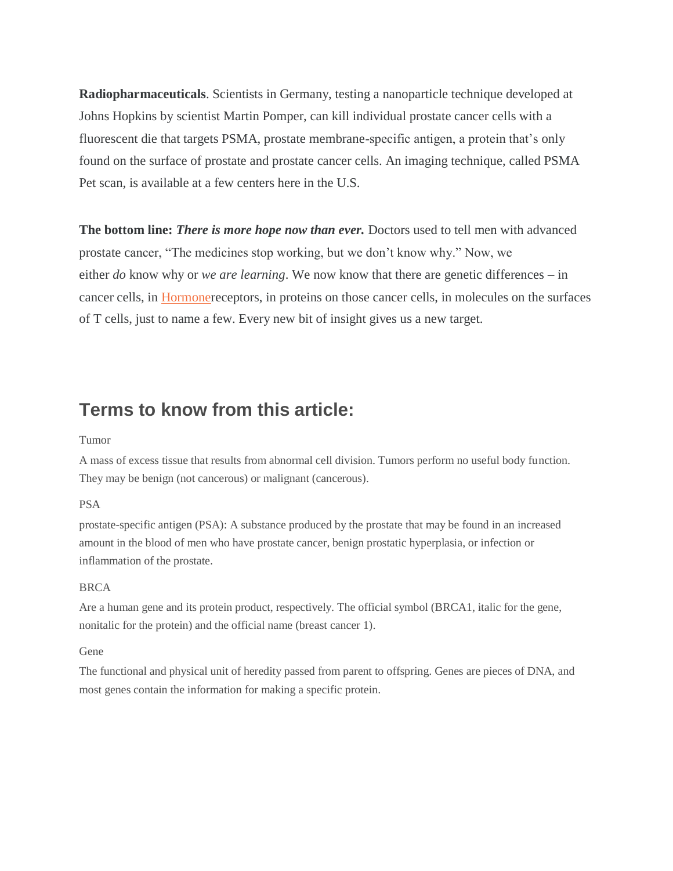**Radiopharmaceuticals**. Scientists in Germany, testing a nanoparticle technique developed at Johns Hopkins by scientist Martin Pomper, can kill individual prostate cancer cells with a fluorescent die that targets PSMA, prostate membrane-specific antigen, a protein that's only found on the surface of prostate and prostate cancer cells. An imaging technique, called PSMA Pet scan, is available at a few centers here in the U.S.

**The bottom line:** *There is more hope now than ever.* Doctors used to tell men with advanced prostate cancer, "The medicines stop working, but we don't know why." Now, we either *do* know why or *we are learning*. We now know that there are genetic differences – in cancer cells, in [Hormoner](javascript:void(0))eceptors, in proteins on those cancer cells, in molecules on the surfaces of T cells, just to name a few. Every new bit of insight gives us a new target.

# **Terms to know from this article:**

#### Tumor

A mass of excess tissue that results from abnormal cell division. Tumors perform no useful body function. They may be benign (not cancerous) or malignant (cancerous).

#### PSA

prostate-specific antigen (PSA): A substance produced by the prostate that may be found in an increased amount in the blood of men who have prostate cancer, benign prostatic hyperplasia, or infection or inflammation of the prostate.

## **BRCA**

Are a human gene and its protein product, respectively. The official symbol (BRCA1, italic for the gene, nonitalic for the protein) and the official name (breast cancer 1).

#### Gene

The functional and physical unit of heredity passed from parent to offspring. Genes are pieces of DNA, and most genes contain the information for making a specific protein.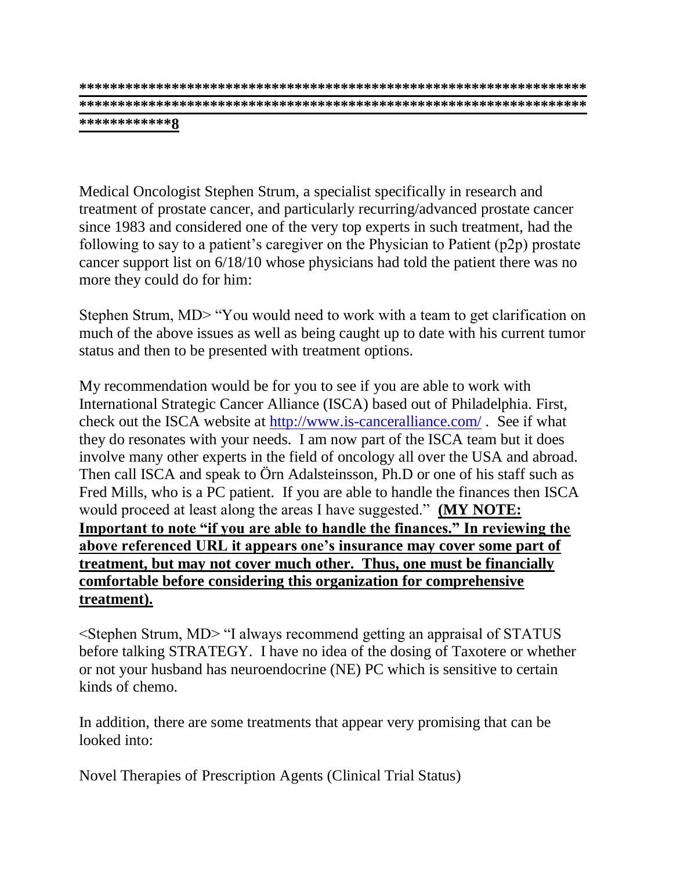**\*\*\*\*\*\*\*\*\*\*\*\*\*\*\*\*\*\*\*\*\*\*\*\*\*\*\*\*\*\*\*\*\*\*\*\*\*\*\*\*\*\*\*\*\*\*\*\*\*\*\*\*\*\*\*\*\*\*\*\*\*\*\*\*\*\***

**\*\*\*\*\*\*\*\*\*\*\*\*8**

Medical Oncologist Stephen Strum, a specialist specifically in research and treatment of prostate cancer, and particularly recurring/advanced prostate cancer since 1983 and considered one of the very top experts in such treatment, had the following to say to a patient's caregiver on the Physician to Patient (p2p) prostate cancer support list on 6/18/10 whose physicians had told the patient there was no more they could do for him:

Stephen Strum, MD> "You would need to work with a team to get clarification on much of the above issues as well as being caught up to date with his current tumor status and then to be presented with treatment options.

My recommendation would be for you to see if you are able to work with International Strategic Cancer Alliance (ISCA) based out of Philadelphia. First, check out the ISCA website at<http://www.is-canceralliance.com/> . See if what they do resonates with your needs. I am now part of the ISCA team but it does involve many other experts in the field of oncology all over the USA and abroad. Then call ISCA and speak to Örn Adalsteinsson, Ph.D or one of his staff such as Fred Mills, who is a PC patient. If you are able to handle the finances then ISCA would proceed at least along the areas I have suggested." **(MY NOTE: Important to note "if you are able to handle the finances." In reviewing the above referenced URL it appears one's insurance may cover some part of treatment, but may not cover much other. Thus, one must be financially comfortable before considering this organization for comprehensive treatment).**

<Stephen Strum, MD> "I always recommend getting an appraisal of STATUS before talking STRATEGY. I have no idea of the dosing of Taxotere or whether or not your husband has neuroendocrine (NE) PC which is sensitive to certain kinds of chemo.

In addition, there are some treatments that appear very promising that can be looked into:

Novel Therapies of Prescription Agents (Clinical Trial Status)